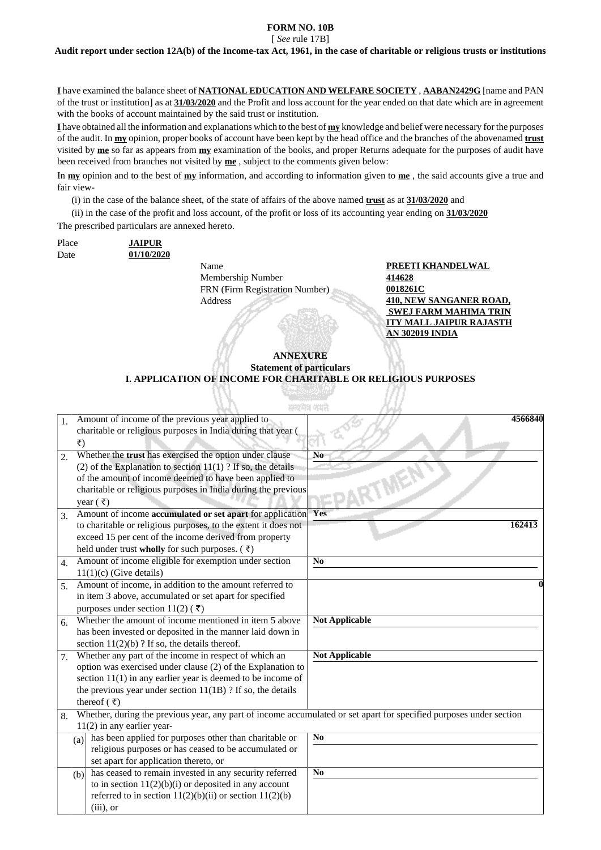### **FORM NO. 10B**

[ *See* rule 17B]

**Audit report under section 12A(b) of the Income-tax Act, 1961, in the case of charitable or religious trusts or institutions**

**I** have examined the balance sheet of **NATIONAL EDUCATION AND WELFARE SOCIETY** , **AABAN2429G** [name and PAN of the trust or institution] as at **31/03/2020** and the Profit and loss account for the year ended on that date which are in agreement with the books of account maintained by the said trust or institution.

**I** have obtained all the information and explanations which to the best of **my** knowledge and belief were necessary for the purposes of the audit. In **my** opinion, proper books of account have been kept by the head office and the branches of the abovenamed **trust** visited by **me** so far as appears from **my** examination of the books, and proper Returns adequate for the purposes of audit have been received from branches not visited by **me** , subject to the comments given below:

In **my** opinion and to the best of **my** information, and according to information given to **me** , the said accounts give a true and fair view-

(i) in the case of the balance sheet, of the state of affairs of the above named **trust** as at **31/03/2020** and

(ii) in the case of the profit and loss account, of the profit or loss of its accounting year ending on **31/03/2020** The prescribed particulars are annexed hereto.

Place **JAIPUR** Date **01/10/2020**

Name **PREETI KHANDELWAL** Membership Number **414628** FRN (Firm Registration Number) **0018261C** Address **410, NEW SANGANER ROAD,** 

 **SWEJ FARM MAHIMA TRIN ITY MALL JAIPUR RAJASTH AN 302019 INDIA**

#### **ANNEXURE Statement of particulars I. APPLICATION OF INCOME FOR CHARITABLE OR RELIGIOUS PURPOSES**

|                  |                                                                                                                     | सम्बद्धांमध्य अस्माने                                          |                       |  |  |  |
|------------------|---------------------------------------------------------------------------------------------------------------------|----------------------------------------------------------------|-----------------------|--|--|--|
| $\mathbf{1}$ .   |                                                                                                                     | Amount of income of the previous year applied to               | 4566840               |  |  |  |
|                  |                                                                                                                     | charitable or religious purposes in India during that year (   |                       |  |  |  |
|                  | ₹)                                                                                                                  |                                                                |                       |  |  |  |
| $\overline{2}$ . |                                                                                                                     | Whether the trust has exercised the option under clause        | N <sub>0</sub>        |  |  |  |
|                  |                                                                                                                     | (2) of the Explanation to section $11(1)$ ? If so, the details |                       |  |  |  |
|                  |                                                                                                                     | of the amount of income deemed to have been applied to         |                       |  |  |  |
|                  |                                                                                                                     | charitable or religious purposes in India during the previous  |                       |  |  |  |
|                  |                                                                                                                     | year $(\bar{\tau})$                                            |                       |  |  |  |
| 3.               |                                                                                                                     | Amount of income accumulated or set apart for application Yes  |                       |  |  |  |
|                  |                                                                                                                     | to charitable or religious purposes, to the extent it does not | 162413                |  |  |  |
|                  |                                                                                                                     | exceed 15 per cent of the income derived from property         |                       |  |  |  |
|                  |                                                                                                                     | held under trust wholly for such purposes. $($ $\bar{z})$      |                       |  |  |  |
| $\overline{4}$ . |                                                                                                                     | Amount of income eligible for exemption under section          | N <sub>0</sub>        |  |  |  |
|                  |                                                                                                                     | $11(1)(c)$ (Give details)                                      |                       |  |  |  |
| 5.               |                                                                                                                     | Amount of income, in addition to the amount referred to        |                       |  |  |  |
|                  |                                                                                                                     | in item 3 above, accumulated or set apart for specified        |                       |  |  |  |
|                  | purposes under section 11(2) (₹)                                                                                    |                                                                |                       |  |  |  |
| 6.               | Whether the amount of income mentioned in item 5 above                                                              |                                                                | <b>Not Applicable</b> |  |  |  |
|                  |                                                                                                                     | has been invested or deposited in the manner laid down in      |                       |  |  |  |
|                  |                                                                                                                     | section $11(2)(b)$ ? If so, the details thereof.               |                       |  |  |  |
| 7.               |                                                                                                                     | Whether any part of the income in respect of which an          | <b>Not Applicable</b> |  |  |  |
|                  |                                                                                                                     | option was exercised under clause (2) of the Explanation to    |                       |  |  |  |
|                  |                                                                                                                     | section $11(1)$ in any earlier year is deemed to be income of  |                       |  |  |  |
|                  |                                                                                                                     | the previous year under section $11(1B)$ ? If so, the details  |                       |  |  |  |
|                  |                                                                                                                     | thereof $(\bar{\tau})$                                         |                       |  |  |  |
| 8.               | Whether, during the previous year, any part of income accumulated or set apart for specified purposes under section |                                                                |                       |  |  |  |
|                  | $11(2)$ in any earlier year-                                                                                        |                                                                |                       |  |  |  |
|                  | (a)                                                                                                                 | has been applied for purposes other than charitable or         | N <sub>0</sub>        |  |  |  |
|                  |                                                                                                                     | religious purposes or has ceased to be accumulated or          |                       |  |  |  |
|                  |                                                                                                                     | set apart for application thereto, or                          |                       |  |  |  |
|                  | (b)                                                                                                                 | has ceased to remain invested in any security referred         | N <sub>0</sub>        |  |  |  |
|                  |                                                                                                                     | to in section $11(2)(b)(i)$ or deposited in any account        |                       |  |  |  |
|                  |                                                                                                                     | referred to in section $11(2)(b)(ii)$ or section $11(2)(b)$    |                       |  |  |  |
|                  |                                                                                                                     | $(iii)$ , or                                                   |                       |  |  |  |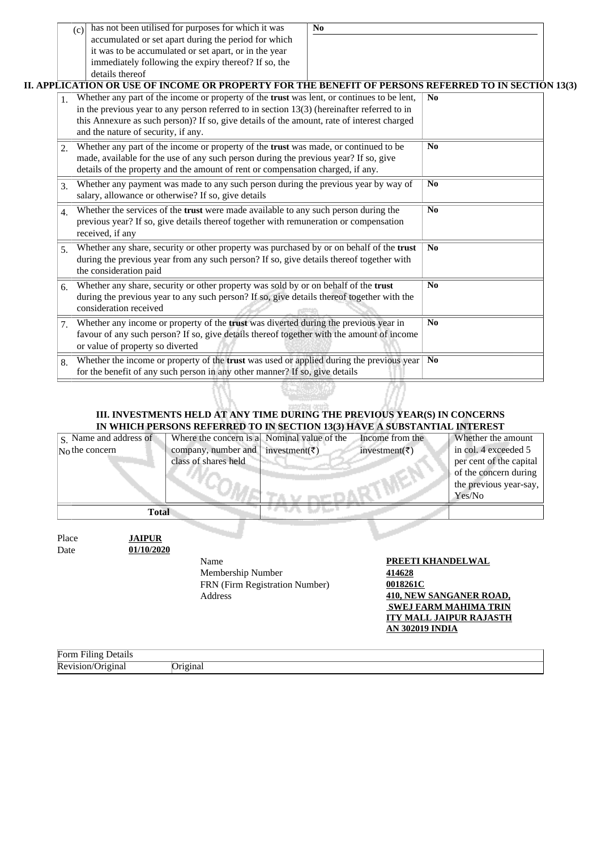|    | has not been utilised for purposes for which it was<br>(c)                                                                                                                                                                                                      | N <sub>0</sub>                                                                                                                                                                       |                |
|----|-----------------------------------------------------------------------------------------------------------------------------------------------------------------------------------------------------------------------------------------------------------------|--------------------------------------------------------------------------------------------------------------------------------------------------------------------------------------|----------------|
|    | accumulated or set apart during the period for which<br>it was to be accumulated or set apart, or in the year<br>immediately following the expiry thereof? If so, the                                                                                           |                                                                                                                                                                                      |                |
|    | details thereof                                                                                                                                                                                                                                                 |                                                                                                                                                                                      |                |
|    | II. APPLICATION OR USE OF INCOME OR PROPERTY FOR THE BENEFIT OF PERSONS REFERRED TO IN SECTION 13(3)<br>Whether any part of the income or property of the trust was lent, or continues to be lent,                                                              |                                                                                                                                                                                      | No             |
| 1. | in the previous year to any person referred to in section $13(3)$ (hereinafter referred to in<br>this Annexure as such person)? If so, give details of the amount, rate of interest charged<br>and the nature of security, if any.                              |                                                                                                                                                                                      |                |
| 2. | Whether any part of the income or property of the trust was made, or continued to be<br>made, available for the use of any such person during the previous year? If so, give<br>details of the property and the amount of rent or compensation charged, if any. |                                                                                                                                                                                      | No             |
| 3. | salary, allowance or otherwise? If so, give details                                                                                                                                                                                                             | Whether any payment was made to any such person during the previous year by way of                                                                                                   |                |
| 4. | Whether the services of the trust were made available to any such person during the<br>previous year? If so, give details thereof together with remuneration or compensation<br>received, if any                                                                |                                                                                                                                                                                      | No             |
| 5. | the consideration paid                                                                                                                                                                                                                                          | Whether any share, security or other property was purchased by or on behalf of the trust<br>during the previous year from any such person? If so, give details thereof together with |                |
| 6. | Whether any share, security or other property was sold by or on behalf of the trust<br>during the previous year to any such person? If so, give details thereof together with the<br>consideration received                                                     |                                                                                                                                                                                      | No             |
| 7. | Whether any income or property of the trust was diverted during the previous year in<br>favour of any such person? If so, give details thereof together with the amount of income<br>or value of property so diverted                                           |                                                                                                                                                                                      | N <sub>0</sub> |
| 8. | Whether the income or property of the trust was used or applied during the previous year<br>for the benefit of any such person in any other manner? If so, give details                                                                                         |                                                                                                                                                                                      | No             |

### **III. INVESTMENTS HELD AT ANY TIME DURING THE PREVIOUS YEAR(S) IN CONCERNS IN WHICH PERSONS REFERRED TO IN SECTION 13(3) HAVE A SUBSTANTIAL INTEREST**

| $NO$ the concern                             | company, number and<br>class of shares held | investment( $\bar{z}$ )        | investment( $\bar{z}$ )                                    | in col. 4 exceeded 5<br>per cent of the capital<br>of the concern during<br>the previous year-say,<br>Yes/No |
|----------------------------------------------|---------------------------------------------|--------------------------------|------------------------------------------------------------|--------------------------------------------------------------------------------------------------------------|
| <b>Total</b>                                 |                                             |                                |                                                            |                                                                                                              |
| <b>JAIPUR</b><br>Place<br>01/10/2020<br>Date | Name<br>Membership Number<br>Address        | FRN (Firm Registration Number) | PREETI KHANDELWAL<br>414628<br>0018261C<br>AN 302019 INDIA | 410, NEW SANGANER ROAD,<br><b>SWEJ FARM MAHIMA TRIN</b><br><b>ITY MALL JAIPUR RAJASTH</b>                    |

Revision/Original **Original**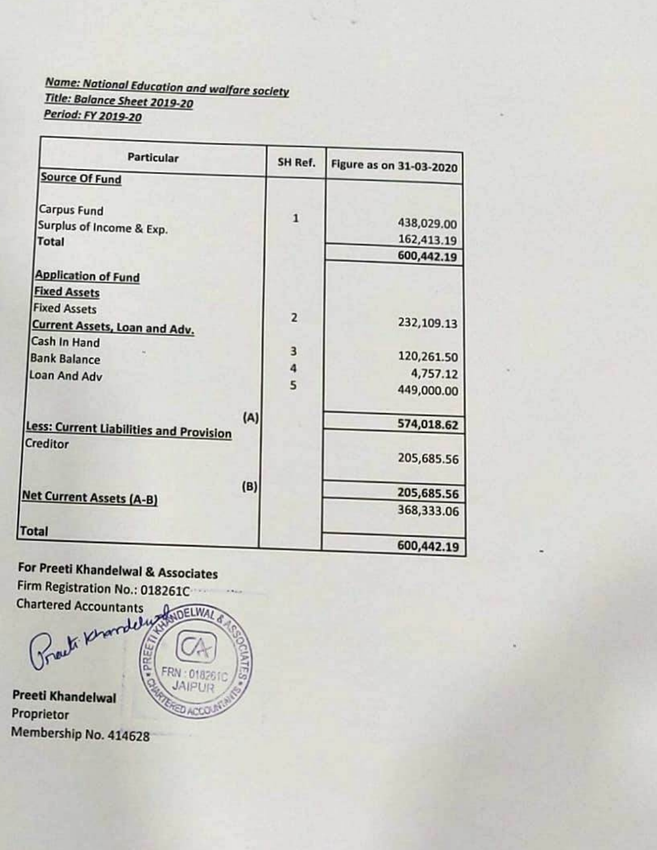## **Name: National Education and walfare society** Title: Balance Sheet 2019-20 Period: FY 2019-20

| <b>Particular</b>                              | SH Ref.        | <b>Figure as on 31-03-2020</b> |
|------------------------------------------------|----------------|--------------------------------|
| <b>Source Of Fund</b>                          |                |                                |
| Carpus Fund                                    | $\mathbf{1}$   | 438,029.00                     |
| Surplus of Income & Exp.<br><b>Total</b>       |                | 162,413.19                     |
|                                                |                | 600,442.19                     |
| <b>Application of Fund</b>                     |                |                                |
| <b>Fixed Assets</b>                            |                |                                |
| <b>Fixed Assets</b>                            |                |                                |
| <b>Current Assets, Loan and Adv.</b>           | $\overline{2}$ | 232,109.13                     |
| Cash In Hand                                   |                |                                |
| <b>Bank Balance</b>                            | 3              | 120,261.50                     |
| Loan And Adv                                   | $\frac{4}{5}$  | 4,757.12                       |
|                                                |                | 449,000.00                     |
| (A)                                            |                |                                |
| <b>Less: Current Liabilities and Provision</b> |                | 574,018.62                     |
| Creditor                                       |                | 205,685.56                     |
| (B)                                            |                | 205,685.56                     |
| <b>Vet Current Assets (A-B)</b>                |                | 368,333.06                     |
| <b>otal</b>                                    |                |                                |
|                                                |                | 600,442.19                     |

For Preeti Khandelwal & Associates Firm Registration No.: 018261C **Chartered Accountants** Grach Khardely ANDELWAL

 $01826$ 

**Preeti Khandelwal** Proprietor Membership No. 414628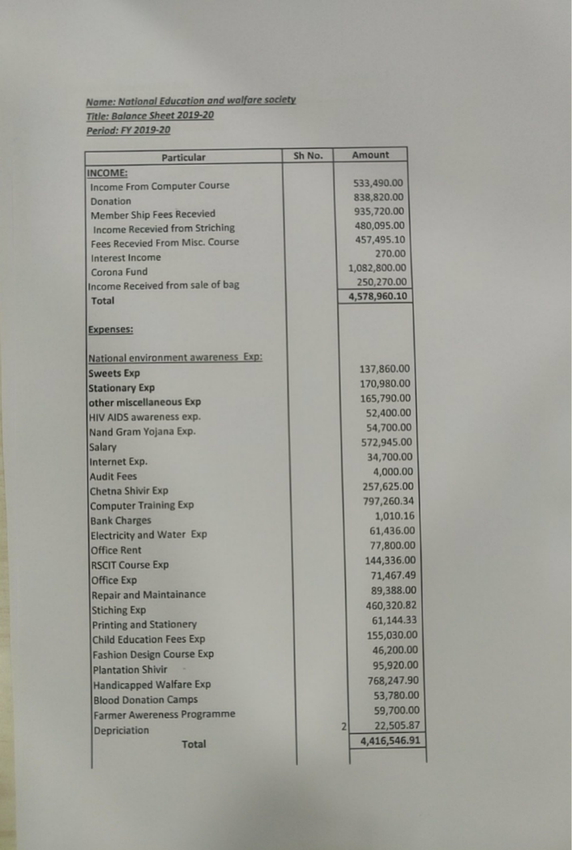# **Name: National Education and walfare society** Title: Balance Sheet 2019-20 Period: FY 2019-20

| Particular                             | Sh No. |                | Amount       |  |
|----------------------------------------|--------|----------------|--------------|--|
| <b>INCOME:</b>                         |        |                |              |  |
| <b>Income From Computer Course</b>     |        |                | 533,490.00   |  |
| <b>Donation</b>                        |        |                | 838,820.00   |  |
| <b>Member Ship Fees Recevied</b>       |        |                | 935,720.00   |  |
| <b>Income Recevied from Striching</b>  |        |                | 480,095.00   |  |
| <b>Fees Recevied From Misc. Course</b> |        |                | 457,495.10   |  |
| <b>Interest Income</b>                 |        |                | 270.00       |  |
| Corona Fund                            |        |                | 1,082,800.00 |  |
| Income Received from sale of bag       |        |                | 250,270.00   |  |
| <b>Total</b>                           |        |                | 4,578,960.10 |  |
| <b>Expenses:</b>                       |        |                |              |  |
| National environment awareness Exp:    |        |                |              |  |
| <b>Sweets Exp</b>                      |        |                | 137,860.00   |  |
| <b>Stationary Exp</b>                  |        |                | 170,980.00   |  |
| other miscellaneous Exp                |        |                | 165,790.00   |  |
| HIV AIDS awareness exp.                |        |                | 52,400.00    |  |
| Nand Gram Yojana Exp.                  |        |                | 54,700.00    |  |
| Salary                                 |        |                | 572,945.00   |  |
| Internet Exp.                          |        |                | 34,700.00    |  |
| <b>Audit Fees</b>                      |        |                | 4,000.00     |  |
| <b>Chetna Shivir Exp</b>               |        |                | 257,625.00   |  |
| <b>Computer Training Exp</b>           |        |                | 797,260.34   |  |
| <b>Bank Charges</b>                    |        |                | 1,010.16     |  |
| <b>Electricity and Water Exp</b>       |        |                | 61,436.00    |  |
| <b>Office Rent</b>                     |        |                | 77,800.00    |  |
| <b>RSCIT Course Exp</b>                |        |                | 144,336.00   |  |
| <b>Office Exp</b>                      |        |                | 71,467.49    |  |
| <b>Repair and Maintainance</b>         |        |                | 89,388.00    |  |
| <b>Stiching Exp</b>                    |        |                | 460,320.82   |  |
| <b>Printing and Stationery</b>         |        |                | 61,144.33    |  |
| <b>Child Education Fees Exp</b>        |        |                | 155,030.00   |  |
| <b>Fashion Design Course Exp</b>       |        |                | 46,200.00    |  |
| <b>Plantation Shivir</b>               |        |                | 95,920.00    |  |
| <b>Handicapped Walfare Exp</b>         |        |                | 768,247.90   |  |
| <b>Blood Donation Camps</b>            |        |                | 53,780.00    |  |
| <b>Farmer Awereness Programme</b>      |        |                | 59,700.00    |  |
|                                        |        | $\overline{2}$ | 22,505.87    |  |
| Depriciation<br><b>Total</b>           |        |                | 4,416,546.91 |  |
|                                        |        |                |              |  |